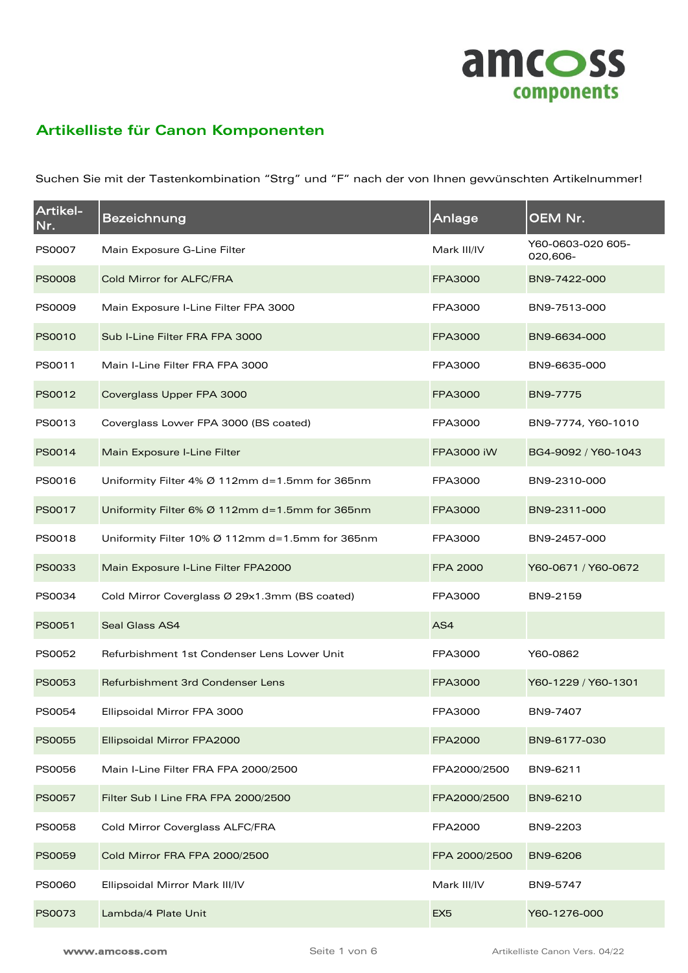

## **Artikelliste für Canon Komponenten**

Suchen Sie mit der Tastenkombination "Strg" und "F" nach der von Ihnen gewünschten Artikelnummer!

| Artikel-<br>Nr. | <b>Bezeichnung</b>                              | Anlage            | OEM Nr.                       |
|-----------------|-------------------------------------------------|-------------------|-------------------------------|
| <b>PS0007</b>   | Main Exposure G-Line Filter                     | Mark III/IV       | Y60-0603-020 605-<br>020,606- |
| <b>PS0008</b>   | Cold Mirror for ALFC/FRA                        | FPA3000           | BN9-7422-000                  |
| <b>PS0009</b>   | Main Exposure I-Line Filter FPA 3000            | FPA3000           | BN9-7513-000                  |
| <b>PS0010</b>   | Sub I-Line Filter FRA FPA 3000                  | FPA3000           | BN9-6634-000                  |
| PS0011          | Main I-Line Filter FRA FPA 3000                 | FPA3000           | BN9-6635-000                  |
| PS0012          | Coverglass Upper FPA 3000                       | FPA3000           | BN9-7775                      |
| PS0013          | Coverglass Lower FPA 3000 (BS coated)           | FPA3000           | BN9-7774, Y60-1010            |
| PS0014          | Main Exposure I-Line Filter                     | <b>FPA3000 iW</b> | BG4-9092 / Y60-1043           |
| PS0016          | Uniformity Filter 4% Ø 112mm d=1.5mm for 365nm  | FPA3000           | BN9-2310-000                  |
| PS0017          | Uniformity Filter 6% Ø 112mm d=1.5mm for 365nm  | FPA3000           | BN9-2311-000                  |
| PS0018          | Uniformity Filter 10% Ø 112mm d=1.5mm for 365nm | FPA3000           | BN9-2457-000                  |
| PS0033          | Main Exposure I-Line Filter FPA2000             | <b>FPA 2000</b>   | Y60-0671 / Y60-0672           |
| PS0034          | Cold Mirror Coverglass Ø 29x1.3mm (BS coated)   | FPA3000           | BN9-2159                      |
| PS0051          | <b>Seal Glass AS4</b>                           | AS4               |                               |
| PS0052          | Refurbishment 1st Condenser Lens Lower Unit     | FPA3000           | Y60-0862                      |
| <b>PS0053</b>   | Refurbishment 3rd Condenser Lens                | FPA3000           | Y60-1229 / Y60-1301           |
| PS0054          | Ellipsoidal Mirror FPA 3000                     | FPA3000           | BN9-7407                      |
| <b>PS0055</b>   | Ellipsoidal Mirror FPA2000                      | <b>FPA2000</b>    | BN9-6177-030                  |
| <b>PS0056</b>   | Main I-Line Filter FRA FPA 2000/2500            | FPA2000/2500      | BN9-6211                      |
| PS0057          | Filter Sub I Line FRA FPA 2000/2500             | FPA2000/2500      | BN9-6210                      |
| <b>PS0058</b>   | Cold Mirror Coverglass ALFC/FRA                 | FPA2000           | BN9-2203                      |
| <b>PS0059</b>   | Cold Mirror FRA FPA 2000/2500                   | FPA 2000/2500     | BN9-6206                      |
| <b>PS0060</b>   | Ellipsoidal Mirror Mark III/IV                  | Mark III/IV       | BN9-5747                      |
| PS0073          | Lambda/4 Plate Unit                             | EX <sub>5</sub>   | Y60-1276-000                  |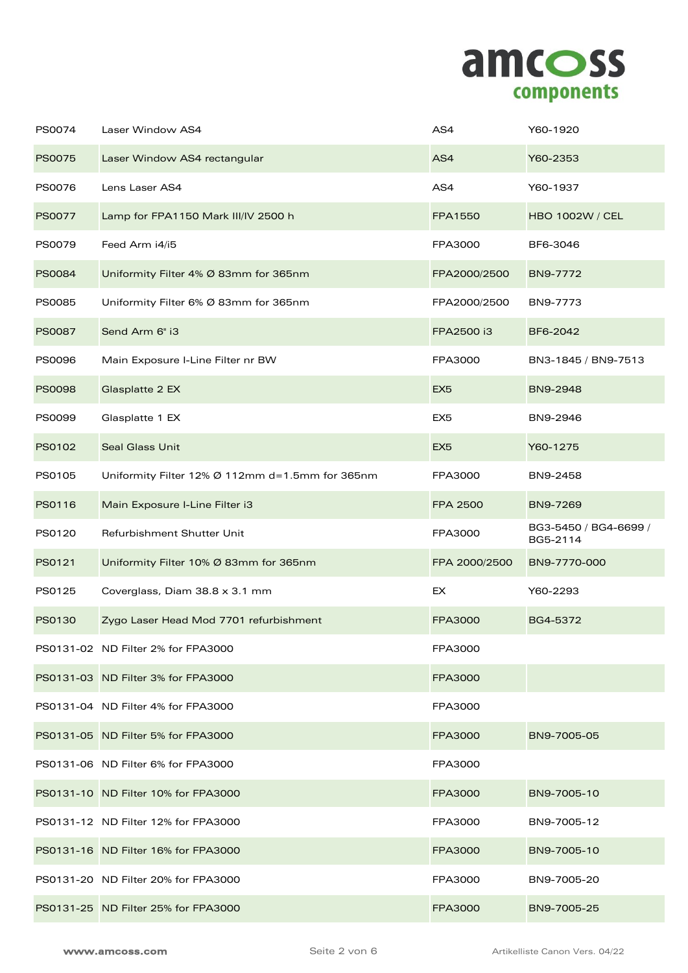

| PS0074        | Laser Window AS4                                | AS4             | Y60-1920                          |
|---------------|-------------------------------------------------|-----------------|-----------------------------------|
| <b>PS0075</b> | Laser Window AS4 rectangular                    | AS4             | Y60-2353                          |
| PS0076        | Lens Laser AS4                                  | AS4             | Y60-1937                          |
| PS0077        | Lamp for FPA1150 Mark III/IV 2500 h             | FPA1550         | <b>HBO 1002W / CEL</b>            |
| PS0079        | Feed Arm i4/i5                                  | FPA3000         | BF6-3046                          |
| <b>PS0084</b> | Uniformity Filter 4% Ø 83mm for 365nm           | FPA2000/2500    | BN9-7772                          |
| PS0085        | Uniformity Filter 6% Ø 83mm for 365nm           | FPA2000/2500    | BN9-7773                          |
| <b>PS0087</b> | Send Arm 6" i3                                  | FPA2500 i3      | BF6-2042                          |
| <b>PS0096</b> | Main Exposure I-Line Filter nr BW               | FPA3000         | BN3-1845 / BN9-7513               |
| <b>PS0098</b> | Glasplatte 2 EX                                 | EX <sub>5</sub> | BN9-2948                          |
| PS0099        | Glasplatte 1 EX                                 | EX <sub>5</sub> | BN9-2946                          |
| PS0102        | <b>Seal Glass Unit</b>                          | EX <sub>5</sub> | Y60-1275                          |
| PS0105        | Uniformity Filter 12% Ø 112mm d=1.5mm for 365nm | FPA3000         | BN9-2458                          |
| PS0116        | Main Exposure I-Line Filter i3                  | <b>FPA 2500</b> | BN9-7269                          |
| PS0120        | Refurbishment Shutter Unit                      | FPA3000         | BG3-5450 / BG4-6699 /<br>BG5-2114 |
| PS0121        | Uniformity Filter 10% Ø 83mm for 365nm          | FPA 2000/2500   | BN9-7770-000                      |
| PS0125        | Coverglass, Diam 38.8 x 3.1 mm                  | EX              | Y60-2293                          |
| PS0130        | Zygo Laser Head Mod 7701 refurbishment          | <b>FPA3000</b>  | BG4-5372                          |
|               | PS0131-02 ND Filter 2% for FPA3000              | FPA3000         |                                   |
|               | PS0131-03 ND Filter 3% for FPA3000              | FPA3000         |                                   |
|               | PS0131-04 ND Filter 4% for FPA3000              | FPA3000         |                                   |
|               | PS0131-05 ND Filter 5% for FPA3000              | FPA3000         | BN9-7005-05                       |
|               | PS0131-06 ND Filter 6% for FPA3000              | FPA3000         |                                   |
|               | PS0131-10 ND Filter 10% for FPA3000             | FPA3000         | BN9-7005-10                       |
|               | PS0131-12 ND Filter 12% for FPA3000             | FPA3000         | BN9-7005-12                       |
|               | PS0131-16 ND Filter 16% for FPA3000             | FPA3000         | BN9-7005-10                       |
|               | PS0131-20 ND Filter 20% for FPA3000             | FPA3000         | BN9-7005-20                       |
|               | PS0131-25 ND Filter 25% for FPA3000             | FPA3000         | BN9-7005-25                       |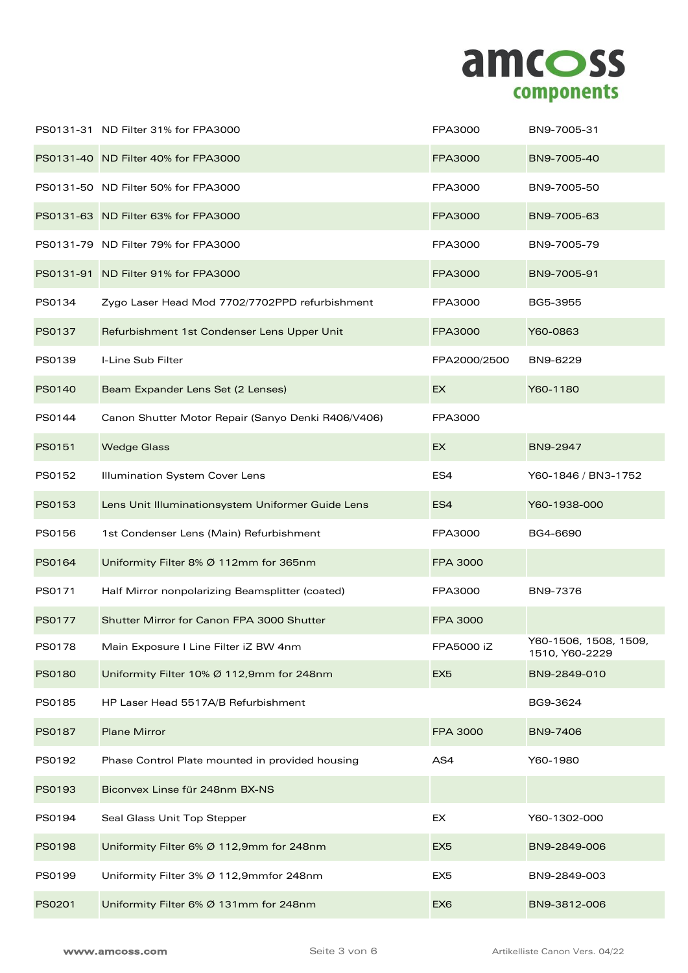

|        | PS0131-31 ND Filter 31% for FPA3000                | FPA3000         | BN9-7005-31                             |
|--------|----------------------------------------------------|-----------------|-----------------------------------------|
|        | PS0131-40 ND Filter 40% for FPA3000                | FPA3000         | BN9-7005-40                             |
|        | PS0131-50 ND Filter 50% for FPA3000                | FPA3000         | BN9-7005-50                             |
|        | PS0131-63 ND Filter 63% for FPA3000                | FPA3000         | BN9-7005-63                             |
|        | PS0131-79 ND Filter 79% for FPA3000                | FPA3000         | BN9-7005-79                             |
|        | PS0131-91 ND Filter 91% for FPA3000                | FPA3000         | BN9-7005-91                             |
| PS0134 | Zygo Laser Head Mod 7702/7702PPD refurbishment     | FPA3000         | BG5-3955                                |
| PS0137 | Refurbishment 1st Condenser Lens Upper Unit        | FPA3000         | Y60-0863                                |
| PS0139 | I-Line Sub Filter                                  | FPA2000/2500    | BN9-6229                                |
| PS0140 | Beam Expander Lens Set (2 Lenses)                  | EX              | Y60-1180                                |
| PS0144 | Canon Shutter Motor Repair (Sanyo Denki R406/V406) | FPA3000         |                                         |
| PS0151 | <b>Wedge Glass</b>                                 | EX              | BN9-2947                                |
| PS0152 | Illumination System Cover Lens                     | ES4             | Y60-1846 / BN3-1752                     |
| PS0153 | Lens Unit Illuminationsystem Uniformer Guide Lens  | ES4             | Y60-1938-000                            |
| PS0156 | 1st Condenser Lens (Main) Refurbishment            | FPA3000         | BG4-6690                                |
| PS0164 | Uniformity Filter 8% Ø 112mm for 365nm             | <b>FPA 3000</b> |                                         |
| PS0171 | Half Mirror nonpolarizing Beamsplitter (coated)    |                 |                                         |
|        |                                                    | FPA3000         | BN9-7376                                |
| PS0177 | Shutter Mirror for Canon FPA 3000 Shutter          | FPA 3000        |                                         |
| PS0178 | Main Exposure I Line Filter iZ BW 4nm              | FPA5000 iZ      | Y60-1506, 1508, 1509,<br>1510, Y60-2229 |
| PS0180 | Uniformity Filter 10% Ø 112,9mm for 248nm          | EX <sub>5</sub> | BN9-2849-010                            |
| PS0185 | HP Laser Head 5517A/B Refurbishment                |                 | BG9-3624                                |
| PS0187 | <b>Plane Mirror</b>                                | FPA 3000        | BN9-7406                                |
| PS0192 | Phase Control Plate mounted in provided housing    | AS4             | Y60-1980                                |
| PS0193 | Biconvex Linse für 248nm BX-NS                     |                 |                                         |
| PS0194 | Seal Glass Unit Top Stepper                        | <b>EX</b>       | Y60-1302-000                            |
| PS0198 | Uniformity Filter 6% Ø 112,9mm for 248nm           | EX <sub>5</sub> | BN9-2849-006                            |
| PS0199 | Uniformity Filter 3% Ø 112,9mmfor 248nm            | EX <sub>5</sub> | BN9-2849-003                            |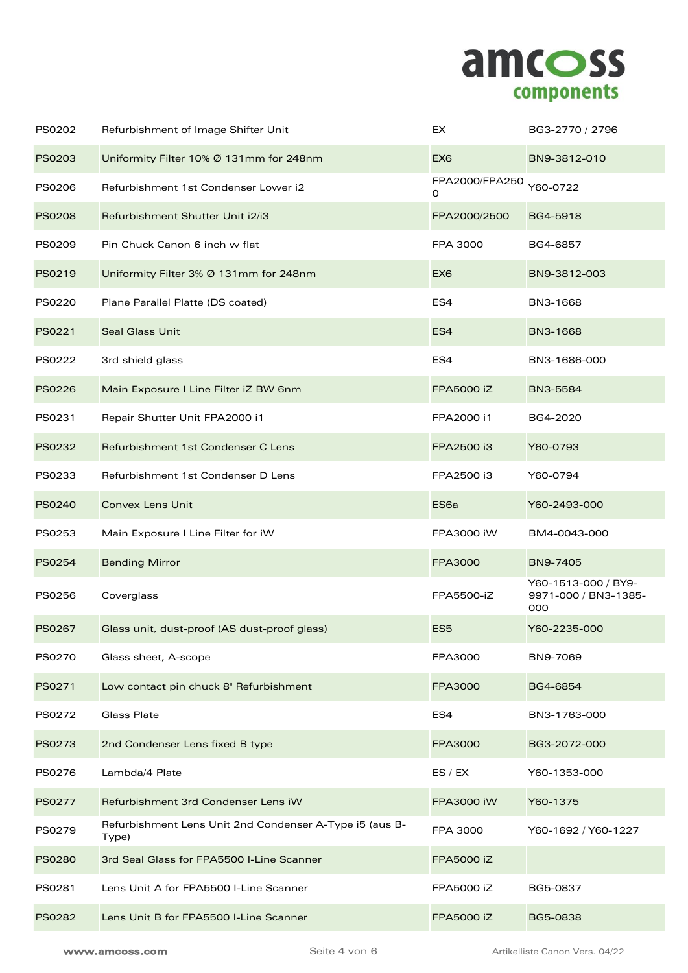

| PS0202        | Refurbishment of Image Shifter Unit                              | EX                  | BG3-2770 / 2796                                    |
|---------------|------------------------------------------------------------------|---------------------|----------------------------------------------------|
| PS0203        | Uniformity Filter 10% Ø 131mm for 248nm                          | EX <sub>6</sub>     | BN9-3812-010                                       |
| PS0206        | Refurbishment 1st Condenser Lower i2                             | FPA2000/FPA250<br>0 | Y60-0722                                           |
| <b>PS0208</b> | Refurbishment Shutter Unit i2/i3                                 | FPA2000/2500        | BG4-5918                                           |
| PS0209        | Pin Chuck Canon 6 inch w flat                                    | FPA 3000            | BG4-6857                                           |
| PS0219        | Uniformity Filter 3% Ø 131mm for 248nm                           | EX <sub>6</sub>     | BN9-3812-003                                       |
| PS0220        | Plane Parallel Platte (DS coated)                                | ES4                 | BN3-1668                                           |
| PS0221        | <b>Seal Glass Unit</b>                                           | ES4                 | BN3-1668                                           |
| PS0222        | 3rd shield glass                                                 | ES4                 | BN3-1686-000                                       |
| PS0226        | Main Exposure I Line Filter iZ BW 6nm                            | <b>FPA5000 iZ</b>   | BN3-5584                                           |
| PS0231        | Repair Shutter Unit FPA2000 i1                                   | FPA2000 i1          | BG4-2020                                           |
| PS0232        | Refurbishment 1st Condenser C Lens                               | FPA2500 i3          | Y60-0793                                           |
| PS0233        | Refurbishment 1st Condenser D Lens                               | FPA2500 i3          | Y60-0794                                           |
| PS0240        | <b>Convex Lens Unit</b>                                          | ES <sub>6a</sub>    | Y60-2493-000                                       |
| PS0253        | Main Exposure I Line Filter for iW                               | FPA3000 iW          | BM4-0043-000                                       |
| PS0254        | <b>Bending Mirror</b>                                            | FPA3000             | BN9-7405                                           |
| PS0256        | Coverglass                                                       | FPA5500-iZ          | Y60-1513-000 / BY9-<br>9971-000 / BN3-1385-<br>000 |
| PS0267        | Glass unit, dust-proof (AS dust-proof glass)                     | ES <sub>5</sub>     | Y60-2235-000                                       |
| PS0270        | Glass sheet, A-scope                                             | FPA3000             | BN9-7069                                           |
| PS0271        | Low contact pin chuck 8" Refurbishment                           | FPA3000             | BG4-6854                                           |
| PS0272        | <b>Glass Plate</b>                                               | ES4                 | BN3-1763-000                                       |
| PS0273        | 2nd Condenser Lens fixed B type                                  | FPA3000             | BG3-2072-000                                       |
| PS0276        | Lambda/4 Plate                                                   | ES / EX             | Y60-1353-000                                       |
| PS0277        | Refurbishment 3rd Condenser Lens iW                              | FPA3000 iW          | Y60-1375                                           |
| PS0279        | Refurbishment Lens Unit 2nd Condenser A-Type i5 (aus B-<br>Type) | FPA 3000            | Y60-1692 / Y60-1227                                |
| PS0280        | 3rd Seal Glass for FPA5500 I-Line Scanner                        | FPA5000 iZ          |                                                    |
| PS0281        | Lens Unit A for FPA5500 I-Line Scanner                           | FPA5000 iZ          | BG5-0837                                           |
| PS0282        | Lens Unit B for FPA5500 I-Line Scanner                           | FPA5000 iZ          | BG5-0838                                           |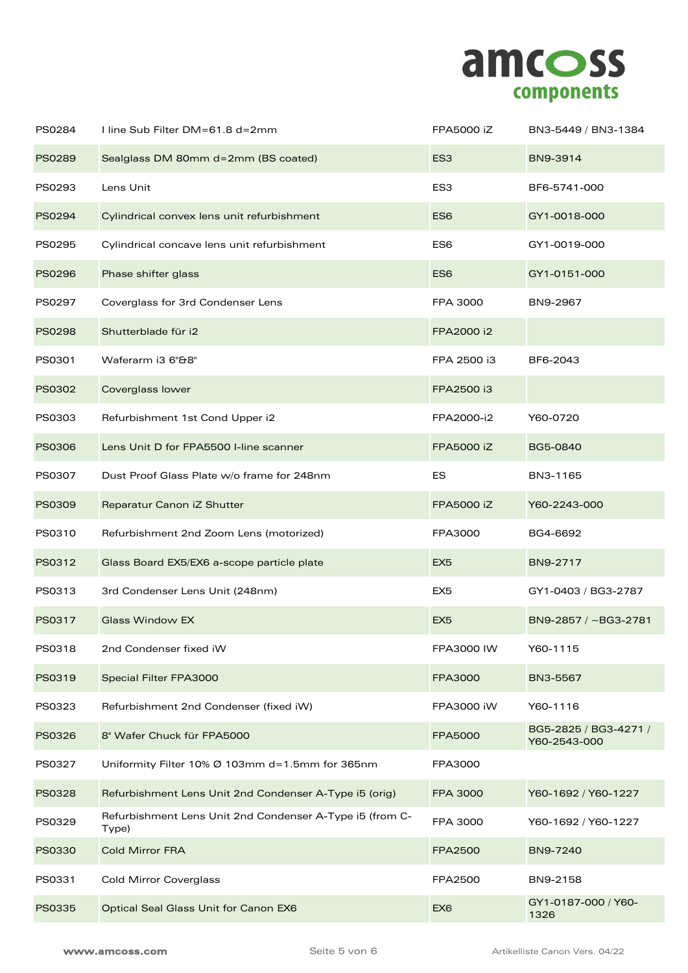

| PS0284        | I line Sub Filter DM=61.8 d=2mm                                   | FPA5000 iZ      | BN3-5449 / BN3-1384                   |
|---------------|-------------------------------------------------------------------|-----------------|---------------------------------------|
| <b>PS0289</b> | Sealglass DM 80mm d=2mm (BS coated)                               | ES <sub>3</sub> | BN9-3914                              |
| PS0293        | Lens Unit                                                         | ES <sub>3</sub> | BF6-5741-000                          |
| PS0294        | Cylindrical convex lens unit refurbishment                        | ES <sub>6</sub> | GY1-0018-000                          |
| PS0295        | Cylindrical concave lens unit refurbishment                       | ES <sub>6</sub> | GY1-0019-000                          |
| <b>PS0296</b> | Phase shifter glass                                               | ES <sub>6</sub> | GY1-0151-000                          |
| PS0297        | Coverglass for 3rd Condenser Lens                                 | FPA 3000        | BN9-2967                              |
| <b>PS0298</b> | Shutterblade für i2                                               | FPA2000 i2      |                                       |
| PS0301        | Waferarm i3 6"&8"                                                 | FPA 2500 i3     | BF6-2043                              |
| PS0302        | Coverglass lower                                                  | FPA2500 i3      |                                       |
| PS0303        | Refurbishment 1st Cond Upper i2                                   | FPA2000-i2      | Y60-0720                              |
| <b>PS0306</b> | Lens Unit D for FPA5500 I-line scanner                            | FPA5000 iZ      | BG5-0840                              |
| PS0307        | Dust Proof Glass Plate w/o frame for 248nm                        | <b>ES</b>       | BN3-1165                              |
| PS0309        | Reparatur Canon iZ Shutter                                        | FPA5000 iZ      | Y60-2243-000                          |
| PS0310        | Refurbishment 2nd Zoom Lens (motorized)                           | FPA3000         | BG4-6692                              |
| PS0312        | Glass Board EX5/EX6 a-scope particle plate                        | EX <sub>5</sub> | BN9-2717                              |
| PS0313        | 3rd Condenser Lens Unit (248nm)                                   | EX <sub>5</sub> | GY1-0403 / BG3-2787                   |
| PS0317        | <b>Glass Window EX</b>                                            | EX <sub>5</sub> | BN9-2857 / ~BG3-2781                  |
| PS0318        | 2nd Condenser fixed iW                                            | FPA3000 IW      | Y60-1115                              |
| PS0319        | Special Filter FPA3000                                            | FPA3000         | BN3-5567                              |
| PS0323        | Refurbishment 2nd Condenser (fixed iW)                            | FPA3000 iW      | Y60-1116                              |
| PS0326        | 8" Wafer Chuck für FPA5000                                        | FPA5000         | BG5-2825 / BG3-4271 /<br>Y60-2543-000 |
| PS0327        | Uniformity Filter 10% Ø 103mm d=1.5mm for 365nm                   | FPA3000         |                                       |
| PS0328        | Refurbishment Lens Unit 2nd Condenser A-Type i5 (orig)            | <b>FPA 3000</b> | Y60-1692 / Y60-1227                   |
| PS0329        | Refurbishment Lens Unit 2nd Condenser A-Type i5 (from C-<br>Type) | FPA 3000        | Y60-1692 / Y60-1227                   |
| PS0330        | <b>Cold Mirror FRA</b>                                            | <b>FPA2500</b>  | BN9-7240                              |
| PS0331        | <b>Cold Mirror Coverglass</b>                                     | FPA2500         | BN9-2158                              |
| PS0335        | Optical Seal Glass Unit for Canon EX6                             | EX <sub>6</sub> | GY1-0187-000 / Y60-<br>1326           |